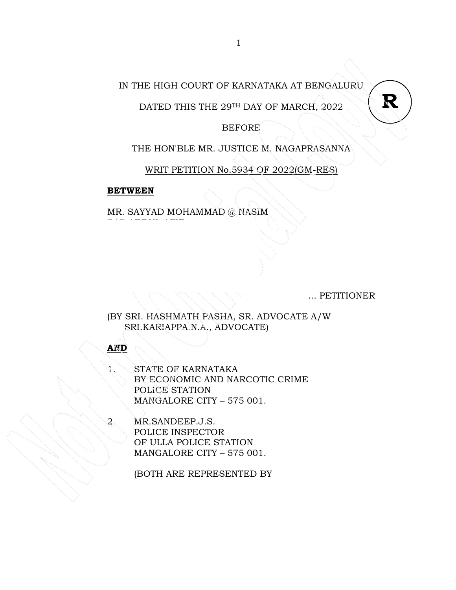## IN THE HIGH COURT OF KARNATAKA AT BENGALURU

DATED THIS THE 29TH DAY OF MARCH, 2022

BEFORE

THE HON'BLE MR. JUSTICE M. NAGAPRASANNA

WRIT PETITION No.5934 OF 2022(GM-RES)

#### **BETWEEN**

s/o abbut abbu

MR. SAYYAD MOHAMMAD @ NASIM

... PETITIONER

**R**

(BY SRI. HASHMATH PASHA, SR. ADVOCATE A/W SRI.KARIAPPA.N.A., ADVOCATE)

**AND**

1. STATE OF KARNATAKA BY ECONOMIC AND NARCOTIC CRIME POLICE STATION MANGALORE CITY – 575 001.

2. MR.SANDEEP.J.S. POLICE INSPECTOR OF ULLA POLICE STATION MANGALORE CITY – 575 001.

(BOTH ARE REPRESENTED BY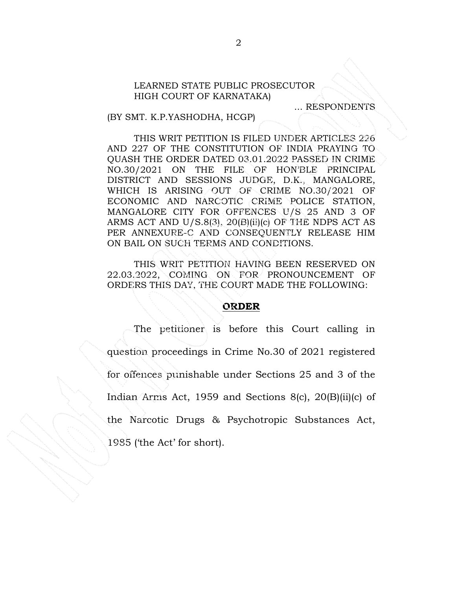#### LEARNED STATE PUBLIC PROSECUTOR HIGH COURT OF KARNATAKA)

... RESPONDENTS

#### (BY SMT. K.P.YASHODHA, HCGP)

THIS WRIT PETITION IS FILED UNDER ARTICLES 226 AND 227 OF THE CONSTITUTION OF INDIA PRAYING TO QUASH THE ORDER DATED 03.01.2022 PASSED IN CRIME NO.30/2021 ON THE FILE OF HON'BLE PRINCIPAL DISTRICT AND SESSIONS JUDGE, D.K., MANGALORE, WHICH IS ARISING OUT OF CRIME NO.30/2021 OF ECONOMIC AND NARCOTIC CRIME POLICE STATION, MANGALORE CITY FOR OFFENCES U/S 25 AND 3 OF ARMS ACT AND U/S.8(3),  $20(B)(ii)(c)$  OF THE NDPS ACT AS PER ANNEXURE-C AND CONSEQUENTLY RELEASE HIM ON BAIL ON SUCH TERMS AND CONDITIONS.

THIS WRIT PETITION HAVING BEEN RESERVED ON 22.03.2022, COMING ON FOR PRONOUNCEMENT OF ORDERS THIS DAY, THE COURT MADE THE FOLLOWING:

#### **ORDER**

 The petitioner is before this Court calling in question proceedings in Crime No.30 of 2021 registered for offences punishable under Sections 25 and 3 of the Indian Arms Act, 1959 and Sections 8(c), 20(B)(ii)(c) of the Narcotic Drugs & Psychotropic Substances Act, 1985 ('the Act' for short).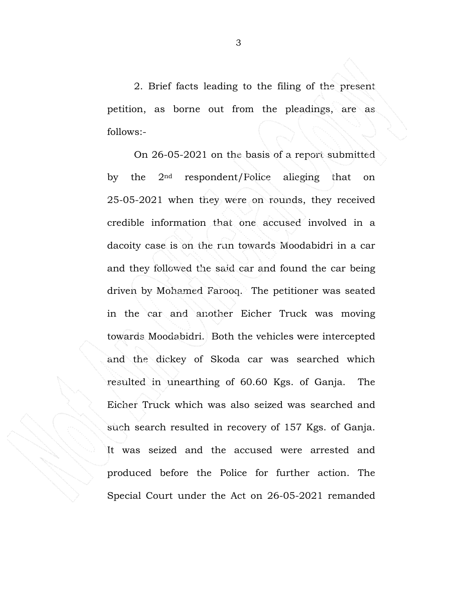2. Brief facts leading to the filing of the present petition, as borne out from the pleadings, are as follows:-

 On 26-05-2021 on the basis of a report submitted by the 2nd respondent/Police alleging that on 25-05-2021 when they were on rounds, they received credible information that one accused involved in a dacoity case is on the run towards Moodabidri in a car and they followed the said car and found the car being driven by Mohamed Farooq. The petitioner was seated in the car and another Eicher Truck was moving towards Moodabidri. Both the vehicles were intercepted and the dickey of Skoda car was searched which resulted in unearthing of 60.60 Kgs. of Ganja. The Eicher Truck which was also seized was searched and such search resulted in recovery of 157 Kgs. of Ganja. It was seized and the accused were arrested and produced before the Police for further action. The Special Court under the Act on 26-05-2021 remanded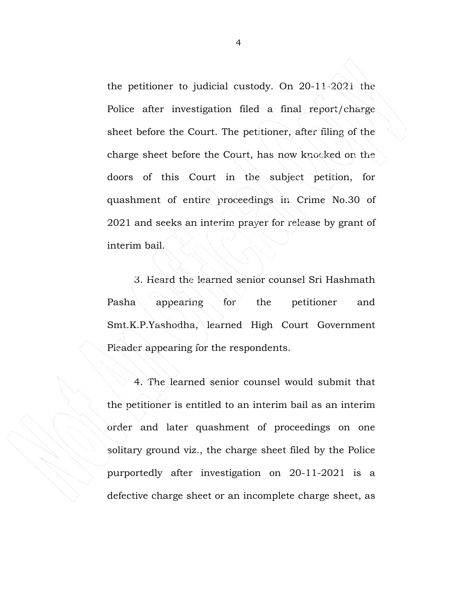the petitioner to judicial custody. On 20-11-2021 the Police after investigation filed a final report/charge sheet before the Court. The petitioner, after filing of the charge sheet before the Court, has now knocked on the doors of this Court in the subject petition, for quashment of entire proceedings in Crime No.30 of 2021 and seeks an interim prayer for release by grant of interim bail.

 3. Heard the learned senior counsel Sri Hashmath Pasha appearing for the petitioner and Smt.K.P.Yashodha, learned High Court Government Pleader appearing for the respondents.

 4. The learned senior counsel would submit that the petitioner is entitled to an interim bail as an interim order and later quashment of proceedings on one solitary ground viz., the charge sheet filed by the Police purportedly after investigation on 20-11-2021 is a defective charge sheet or an incomplete charge sheet, as

4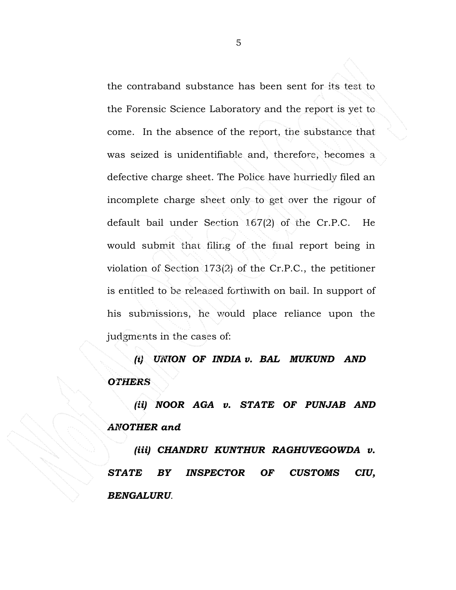the contraband substance has been sent for its test to the Forensic Science Laboratory and the report is yet to come. In the absence of the report, the substance that was seized is unidentifiable and, therefore, becomes a defective charge sheet. The Police have hurriedly filed an incomplete charge sheet only to get over the rigour of default bail under Section 167(2) of the Cr.P.C. He would submit that filing of the final report being in violation of Section 173(2) of the Cr.P.C., the petitioner is entitled to be released forthwith on bail. In support of his submissions, he would place reliance upon the judgments in the cases of:

*(i) UNION OF INDIA v. BAL MUKUND AND OTHERS* 

*(ii) NOOR AGA v. STATE OF PUNJAB AND ANOTHER and* 

*(iii) CHANDRU KUNTHUR RAGHUVEGOWDA v. STATE BY INSPECTOR OF CUSTOMS CIU, BENGALURU.*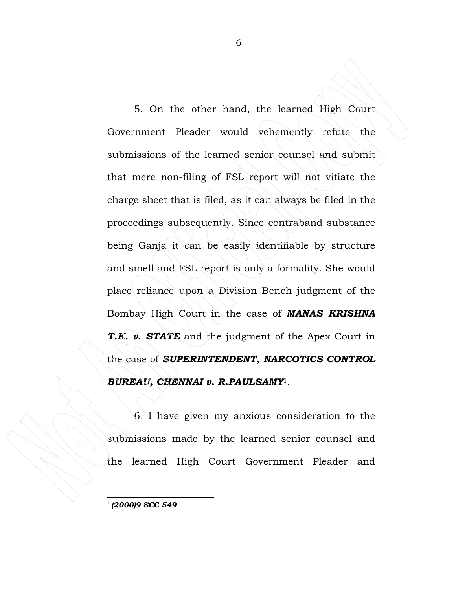5. On the other hand, the learned High Court Government Pleader would vehemently refute the submissions of the learned senior counsel and submit that mere non-filing of FSL report will not vitiate the charge sheet that is filed, as it can always be filed in the proceedings subsequently. Since contraband substance being Ganja it can be easily identifiable by structure and smell and FSL report is only a formality. She would place reliance upon a Division Bench judgment of the Bombay High Court in the case of *MANAS KRISHNA T.K. v. STATE* and the judgment of the Apex Court in the case of *SUPERINTENDENT, NARCOTICS CONTROL BUREAU, CHENNAI v. R.PAULSAMY*1.

6. I have given my anxious consideration to the submissions made by the learned senior counsel and the learned High Court Government Pleader and

*(2000)9 SCC 549*

 $\overline{a}$ 1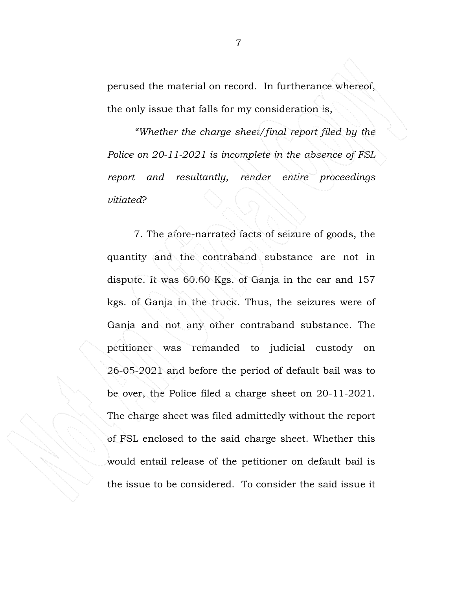perused the material on record. In furtherance whereof, the only issue that falls for my consideration is,

*"Whether the charge sheet/final report filed by the Police on 20-11-2021 is incomplete in the absence of FSL report and resultantly, render entire proceedings vitiated*?

7. The afore-narrated facts of seizure of goods, the quantity and the contraband substance are not in dispute. It was 60.60 Kgs. of Ganja in the car and 157 kgs. of Ganja in the truck. Thus, the seizures were of Ganja and not any other contraband substance. The petitioner was remanded to judicial custody on 26-05-2021 and before the period of default bail was to be over, the Police filed a charge sheet on 20-11-2021. The charge sheet was filed admittedly without the report of FSL enclosed to the said charge sheet. Whether this would entail release of the petitioner on default bail is the issue to be considered. To consider the said issue it

7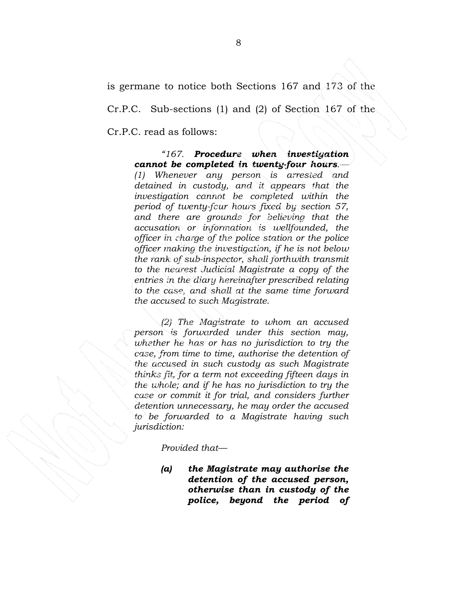is germane to notice both Sections 167 and 173 of the

Cr.P.C. Sub-sections (1) and (2) of Section 167 of the

Cr.P.C. read as follows:

## *"167. Procedure when investigation cannot be completed in twenty-four hours.—*

*(1) Whenever any person is arrested and detained in custody, and it appears that the investigation cannot be completed within the period of twenty-four hours fixed by section 57, and there are grounds for believing that the accusation or information is wellfounded, the officer in charge of the police station or the police officer making the investigation, if he is not below the rank of sub-inspector, shall forthwith transmit to the nearest Judicial Magistrate a copy of the entries in the diary hereinafter prescribed relating to the case, and shall at the same time forward the accused to such Magistrate.* 

*(2) The Magistrate to whom an accused person is forwarded under this section may, whether he has or has no jurisdiction to try the case, from time to time, authorise the detention of the accused in such custody as such Magistrate thinks fit, for a term not exceeding fifteen days in the whole; and if he has no jurisdiction to try the case or commit it for trial, and considers further detention unnecessary, he may order the accused to be forwarded to a Magistrate having such jurisdiction:* 

*Provided that—* 

*(a) the Magistrate may authorise the detention of the accused person, otherwise than in custody of the police, beyond the period of*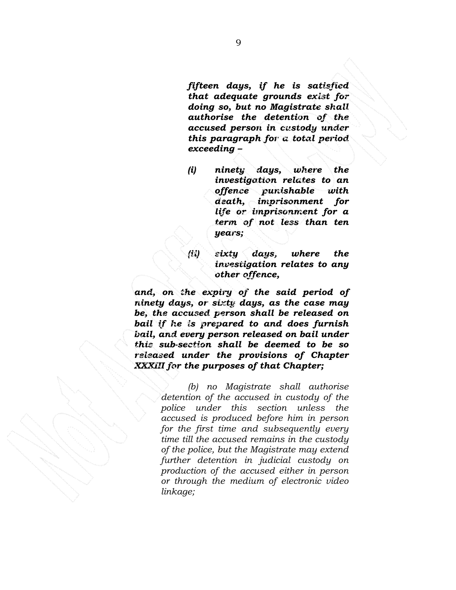*fifteen days, if he is satisfied that adequate grounds exist for doing so, but no Magistrate shall authorise the detention of the accused person in custody under this paragraph for a total period exceeding –* 

- *(i) ninety days, where the investigation relates to an offence punishable with death, imprisonment for life or imprisonment for a term of not less than ten years;*
- *(ii) sixty days, where the investigation relates to any other offence,*

*and, on the expiry of the said period of ninety days, or sixty days, as the case may be, the accused person shall be released on bail if he is prepared to and does furnish bail, and every person released on bail under this sub-section shall be deemed to be so released under the provisions of Chapter XXXIII for the purposes of that Chapter;* 

> *(b) no Magistrate shall authorise detention of the accused in custody of the police under this section unless the accused is produced before him in person for the first time and subsequently every time till the accused remains in the custody of the police, but the Magistrate may extend further detention in judicial custody on production of the accused either in person or through the medium of electronic video linkage;*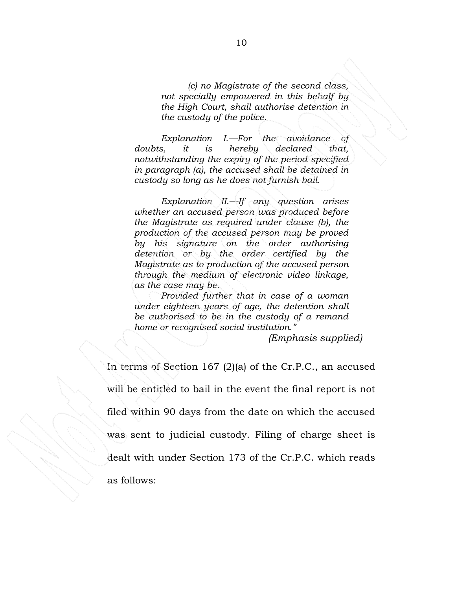*(c) no Magistrate of the second class, not specially empowered in this behalf by the High Court, shall authorise detention in the custody of the police.* 

*Explanation I.—For the avoidance of doubts, it is hereby declared that, notwithstanding the expiry of the period specified in paragraph (a), the accused shall be detained in custody so long as he does not furnish bail.* 

*Explanation II.—If any question arises whether an accused person was produced before the Magistrate as required under clause (b), the production of the accused person may be proved by his signature on the order authorising detention or by the order certified by the Magistrate as to production of the accused person through the medium of electronic video linkage, as the case may be.* 

*Provided further that in case of a woman under eighteen years of age, the detention shall be authorised to be in the custody of a remand home or recognised social institution."* 

 *(Emphasis supplied)* 

In terms of Section 167 (2)(a) of the Cr.P.C., an accused will be entitled to bail in the event the final report is not filed within 90 days from the date on which the accused was sent to judicial custody. Filing of charge sheet is dealt with under Section 173 of the Cr.P.C. which reads as follows: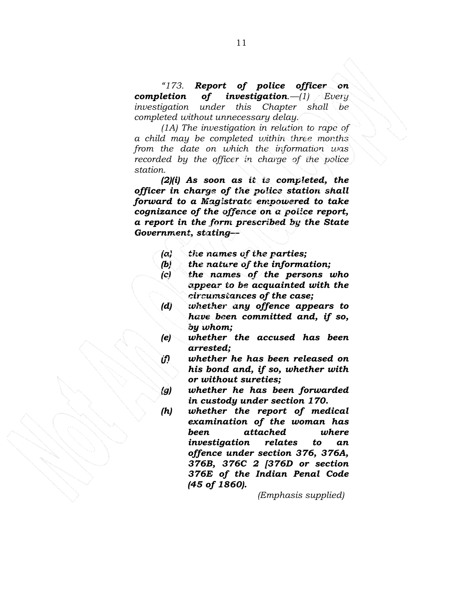*"173. Report of police officer on completion of investigation.—(1) Every investigation under this Chapter shall be completed without unnecessary delay.* 

*(1A) The investigation in relation to rape of a child may be completed within three months from the date on which the information was recorded by the officer in charge of the police station.* 

*(2)(i) As soon as it is completed, the officer in charge of the police station shall forward to a Magistrate empowered to take cognizance of the offence on a police report, a report in the form prescribed by the State Government, stating—* 

- *(a) the names of the parties;*
- *(b) the nature of the information;*
- *(c) the names of the persons who appear to be acquainted with the circumstances of the case;*
- *(d) whether any offence appears to have been committed and, if so, by whom;*
- *(e) whether the accused has been arrested;*
- *(f) whether he has been released on his bond and, if so, whether with or without sureties;*
- *(g) whether he has been forwarded in custody under section 170.*
- *(h) whether the report of medical examination of the woman has been attached where investigation relates to an offence under section 376, 376A, 376B, 376C 2 [376D or section 376E of the Indian Penal Code (45 of 1860).*

 *(Emphasis supplied)*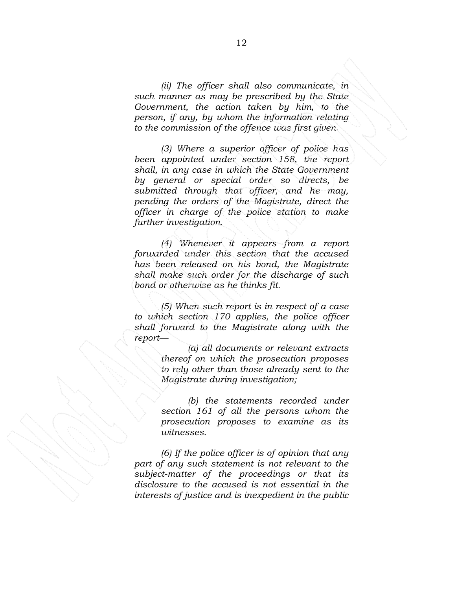*(ii) The officer shall also communicate, in such manner as may be prescribed by the State Government, the action taken by him, to the person, if any, by whom the information relating to the commission of the offence was first given.* 

*(3) Where a superior officer of police has been appointed under section 158, the report shall, in any case in which the State Government by general or special order so directs, be submitted through that officer, and he may, pending the orders of the Magistrate, direct the officer in charge of the police station to make further investigation.* 

*(4) Whenever it appears from a report forwarded under this section that the accused has been released on his bond, the Magistrate shall make such order for the discharge of such bond or otherwise as he thinks fit.* 

*(5) When such report is in respect of a case to which section 170 applies, the police officer shall forward to the Magistrate along with the report—* 

> *(a) all documents or relevant extracts thereof on which the prosecution proposes to rely other than those already sent to the Magistrate during investigation;*

> *(b) the statements recorded under section 161 of all the persons whom the prosecution proposes to examine as its witnesses.*

*(6) If the police officer is of opinion that any part of any such statement is not relevant to the subject-matter of the proceedings or that its disclosure to the accused is not essential in the interests of justice and is inexpedient in the public*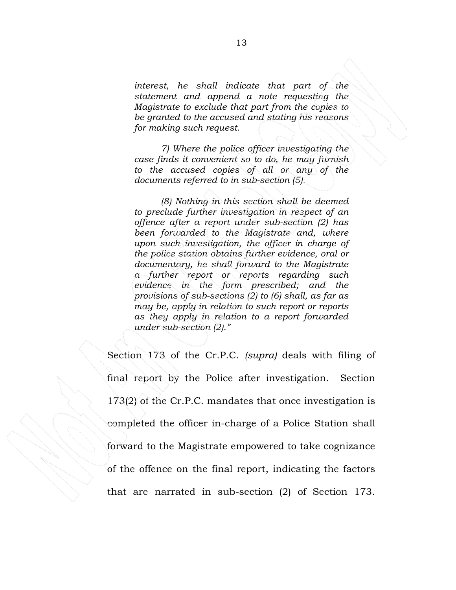*interest, he shall indicate that part of the statement and append a note requesting the Magistrate to exclude that part from the copies to be granted to the accused and stating his reasons for making such request.* 

*7) Where the police officer investigating the case finds it convenient so to do, he may furnish to the accused copies of all or any of the documents referred to in sub-section (5).* 

*(8) Nothing in this section shall be deemed to preclude further investigation in respect of an offence after a report under sub-section (2) has been forwarded to the Magistrate and, where upon such investigation, the officer in charge of the police station obtains further evidence, oral or documentary, he shall forward to the Magistrate a further report or reports regarding such evidence in the form prescribed; and the provisions of sub-sections (2) to (6) shall, as far as may be, apply in relation to such report or reports as they apply in relation to a report forwarded under sub-section (2)."* 

Section 173 of the Cr.P.C. *(supra)* deals with filing of final report by the Police after investigation. Section 173(2) of the Cr.P.C. mandates that once investigation is completed the officer in-charge of a Police Station shall forward to the Magistrate empowered to take cognizance of the offence on the final report, indicating the factors that are narrated in sub-section (2) of Section 173.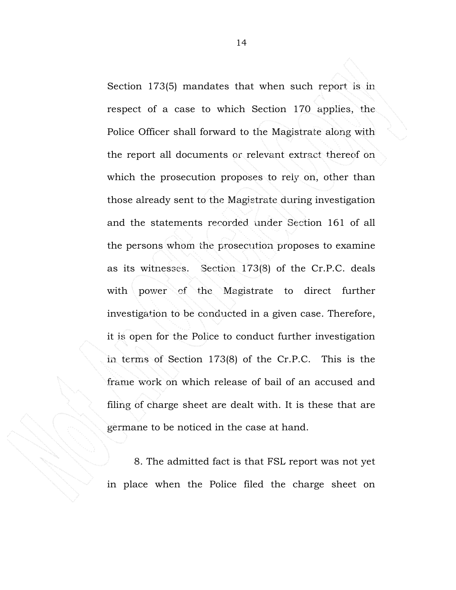Section 173(5) mandates that when such report is in respect of a case to which Section 170 applies, the Police Officer shall forward to the Magistrate along with the report all documents or relevant extract thereof on which the prosecution proposes to rely on, other than those already sent to the Magistrate during investigation and the statements recorded under Section 161 of all the persons whom the prosecution proposes to examine as its witnesses. Section 173(8) of the Cr.P.C. deals with power of the Magistrate to direct further investigation to be conducted in a given case. Therefore, it is open for the Police to conduct further investigation in terms of Section 173(8) of the Cr.P.C. This is the frame work on which release of bail of an accused and filing of charge sheet are dealt with. It is these that are germane to be noticed in the case at hand.

8. The admitted fact is that FSL report was not yet in place when the Police filed the charge sheet on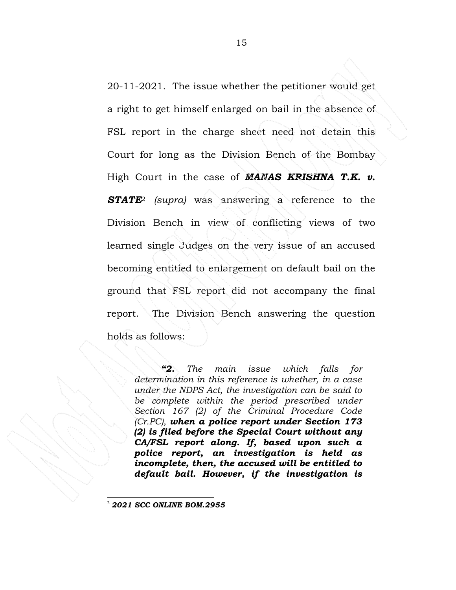20-11-2021. The issue whether the petitioner would get a right to get himself enlarged on bail in the absence of FSL report in the charge sheet need not detain this Court for long as the Division Bench of the Bombay High Court in the case of *MANAS KRISHNA T.K. v. STATE*<sup>2</sup> *(supra)* was answering a reference to the Division Bench in view of conflicting views of two learned single Judges on the very issue of an accused becoming entitled to enlargement on default bail on the ground that FSL report did not accompany the final report. The Division Bench answering the question holds as follows:

*"2. The main issue which falls for determination in this reference is whether, in a case under the NDPS Act, the investigation can be said to*  be complete within the period prescribed under *Section 167 (2) of the Criminal Procedure Code (Cr.PC), when a police report under Section 173 (2) is filed before the Special Court without any CA/FSL report along. If, based upon such a police report, an investigation is held as incomplete, then, the accused will be entitled to default bail. However, if the investigation is* 

<sup>2</sup> *2021 SCC ONLINE BOM.2955*

 $\overline{a}$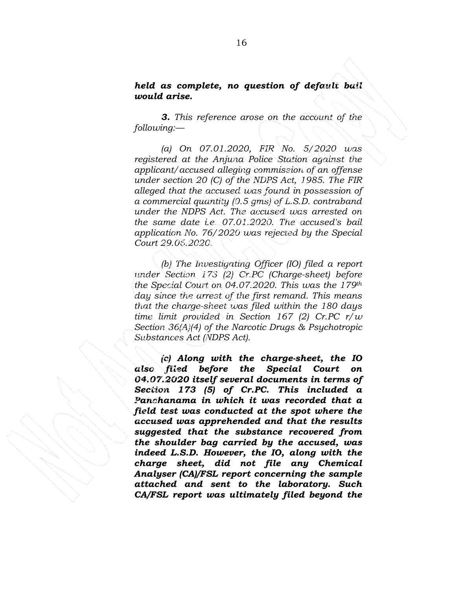# *held as complete, no question of default bail would arise.*

*3. This reference arose on the account of the following:—* 

*(a) On 07.01.2020, FIR No. 5/2020 was registered at the Anjuna Police Station against the applicant/accused alleging commission of an offense under section 20 (C) of the NDPS Act, 1985. The FIR alleged that the accused was found in possession of a commercial quantity (0.5 gms) of L.S.D. contraband under the NDPS Act. The accused was arrested on the same date i.e. 07.01.2020. The accused's bail application No. 76/2020 was rejected by the Special Court 29.06.2020.* 

*(b) The Investigating Officer (IO) filed a report under Section 173 (2) Cr.PC (Charge-sheet) before the Special Court on 04.07.2020. This was the 179th day since the arrest of the first remand. This means that the charge-sheet was filed within the 180 days time limit provided in Section 167 (2) Cr.PC r/w Section 36(A)(4) of the Narcotic Drugs & Psychotropic Substances Act (NDPS Act).* 

*(c) Along with the charge-sheet, the IO also filed before the Special Court on 04.07.2020 itself several documents in terms of Section 173 (5) of Cr.PC. This included a Panchanama in which it was recorded that a field test was conducted at the spot where the accused was apprehended and that the results suggested that the substance recovered from the shoulder bag carried by the accused, was indeed L.S.D. However, the IO, along with the charge sheet, did not file any Chemical Analyser (CA)/FSL report concerning the sample attached and sent to the laboratory. Such CA/FSL report was ultimately filed beyond the*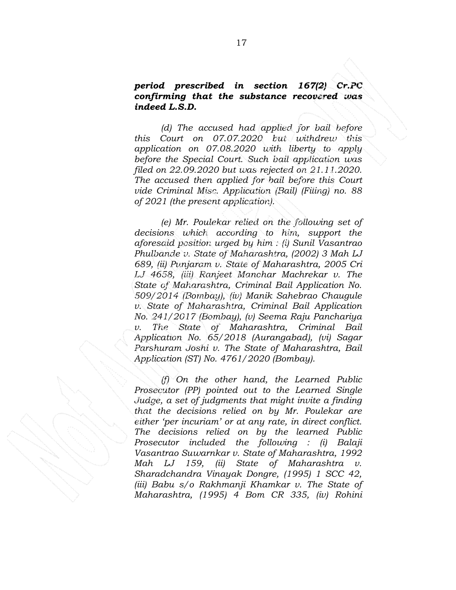#### *period prescribed in section 167(2) Cr.PC confirming that the substance recovered was indeed L.S.D.*

*(d) The accused had applied for bail before this Court on 07.07.2020 but withdrew this application on 07.08.2020 with liberty to apply before the Special Court. Such bail application was filed on 22.09.2020 but was rejected on 21.11.2020. The accused then applied for bail before this Court vide Criminal Misc. Application (Bail) (Filing) no. 88 of 2021 (the present application).* 

*(e) Mr. Poulekar relied on the following set of decisions which according to him, support the aforesaid position urged by him : (i) Sunil Vasantrao Phulbande v. State of Maharashtra, (2002) 3 Mah LJ 689, (ii) Punjaram v. State of Maharashtra, 2005 Cri LJ 4658, (iii) Ranjeet Manohar Machrekar v. The State of Maharashtra, Criminal Bail Application No. 509/2014 (Bombay), (iv) Manik Sahebrao Chaugule v. State of Maharashtra, Criminal Bail Application No. 241/2017 (Bombay), (v) Seema Raju Panchariya v. The State of Maharashtra, Criminal Bail Application No. 65/2018 (Aurangabad), (vi) Sagar Parshuram Joshi v. The State of Maharashtra, Bail Application (ST) No. 4761/2020 (Bombay).* 

*(f) On the other hand, the Learned Public Prosecutor (PP) pointed out to the Learned Single Judge, a set of judgments that might invite a finding that the decisions relied on by Mr. Poulekar are either 'per incuriam' or at any rate, in direct conflict. The decisions relied on by the learned Public Prosecutor included the following : (i) Balaji Vasantrao Suwarnkar v. State of Maharashtra, 1992 Mah LJ 159, (ii) State of Maharashtra v. Sharadchandra Vinayak Dongre, (1995) 1 SCC 42, (iii) Babu s/o Rakhmanji Khamkar v. The State of Maharashtra, (1995) 4 Bom CR 335, (iv) Rohini*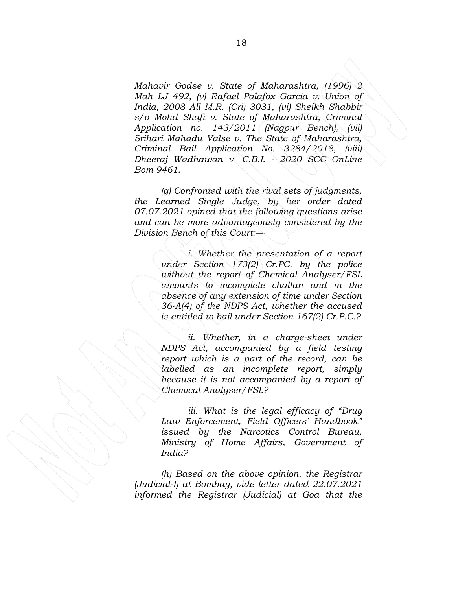*Mahavir Godse v. State of Maharashtra, (1996) 2 Mah LJ 492, (v) Rafael Palafox Garcia v. Union of India, 2008 All M.R. (Cri) 3031, (vi) Sheikh Shabbir s/o Mohd Shafi v. State of Maharashtra, Criminal Application no. 143/2011 (Nagpur Bench), (vii) Srihari Mahadu Valse v. The State of Maharashtra, Criminal Bail Application No. 3284/2018, (viii) Dheeraj Wadhawan v. C.B.I. - 2020 SCC OnLine Bom 9461.* 

*(g) Confronted with the rival sets of judgments, the Learned Single Judge, by her order dated 07.07.2021 opined that the following questions arise and can be more advantageously considered by the Division Bench of this Court:—* 

> *i. Whether the presentation of a report under Section 173(2) Cr.PC. by the police without the report of Chemical Analyser/FSL amounts to incomplete challan and in the absence of any extension of time under Section 36-A(4) of the NDPS Act, whether the accused is entitled to bail under Section 167(2) Cr.P.C.?*

> *ii. Whether, in a charge-sheet under NDPS Act, accompanied by a field testing report which is a part of the record, can be labelled as an incomplete report, simply because it is not accompanied by a report of Chemical Analyser/FSL?*

> *iii. What is the legal efficacy of "Drug Law Enforcement, Field Officers' Handbook" issued by the Narcotics Control Bureau, Ministry of Home Affairs, Government of India?*

*(h) Based on the above opinion, the Registrar (Judicial-I) at Bombay, vide letter dated 22.07.2021 informed the Registrar (Judicial) at Goa that the*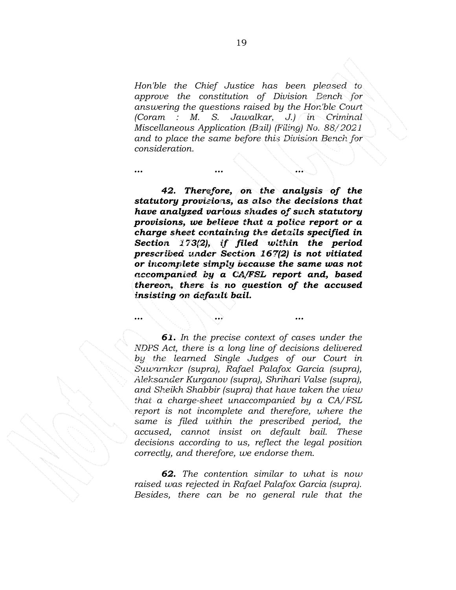*Hon'ble the Chief Justice has been pleased to approve the constitution of Division Bench for answering the questions raised by the Hon'ble Court (Coram : M. S. Jawalkar, J.) in Criminal Miscellaneous Application (Bail) (Filing) No. 88/2021 and to place the same before this Division Bench for consideration.* 

*… … …* 

*… … …* 

*42. Therefore, on the analysis of the statutory provisions, as also the decisions that have analyzed various shades of such statutory provisions, we believe that a police report or a charge sheet containing the details specified in Section 173(2), if filed within the period prescribed under Section 167(2) is not vitiated or incomplete simply because the same was not accompanied by a CA/FSL report and, based thereon, there is no question of the accused insisting on default bail.* 

*61. In the precise context of cases under the NDPS Act, there is a long line of decisions delivered by the learned Single Judges of our Court in Suwarnkar (supra), Rafael Palafox Garcia (supra), Aleksander Kurganov (supra), Shrihari Valse (supra), and Sheikh Shabbir (supra) that have taken the view that a charge-sheet unaccompanied by a CA/FSL report is not incomplete and therefore, where the same is filed within the prescribed period, the accused, cannot insist on default bail. These decisions according to us, reflect the legal position correctly, and therefore, we endorse them.* 

*62. The contention similar to what is now raised was rejected in Rafael Palafox Garcia (supra). Besides, there can be no general rule that the*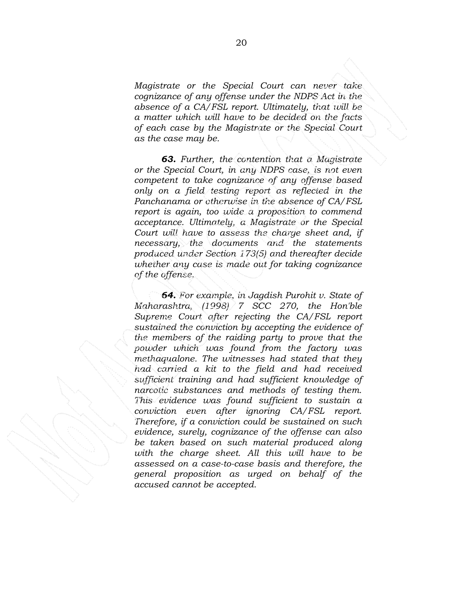*Magistrate or the Special Court can never take cognizance of any offense under the NDPS Act in the absence of a CA/FSL report. Ultimately, that will be a matter which will have to be decided on the facts of each case by the Magistrate or the Special Court as the case may be.* 

*63. Further, the contention that a Magistrate or the Special Court, in any NDPS case, is not even competent to take cognizance of any offense based only on a field testing report as reflected in the Panchanama or otherwise in the absence of CA/FSL report is again, too wide a proposition to commend acceptance. Ultimately, a Magistrate or the Special Court will have to assess the charge sheet and, if necessary, the documents and the statements produced under Section 173(5) and thereafter decide whether any case is made out for taking cognizance of the offense.* 

*64. For example, in Jagdish Purohit v. State of Maharashtra, (1998) 7 SCC 270, the Hon'ble Supreme Court after rejecting the CA/FSL report sustained the conviction by accepting the evidence of the members of the raiding party to prove that the powder which was found from the factory was methaqualone. The witnesses had stated that they had carried a kit to the field and had received sufficient training and had sufficient knowledge of narcotic substances and methods of testing them. This evidence was found sufficient to sustain a conviction even after ignoring CA/FSL report. Therefore, if a conviction could be sustained on such evidence, surely, cognizance of the offense can also be taken based on such material produced along with the charge sheet. All this will have to be assessed on a case-to-case basis and therefore, the general proposition as urged on behalf of the accused cannot be accepted.*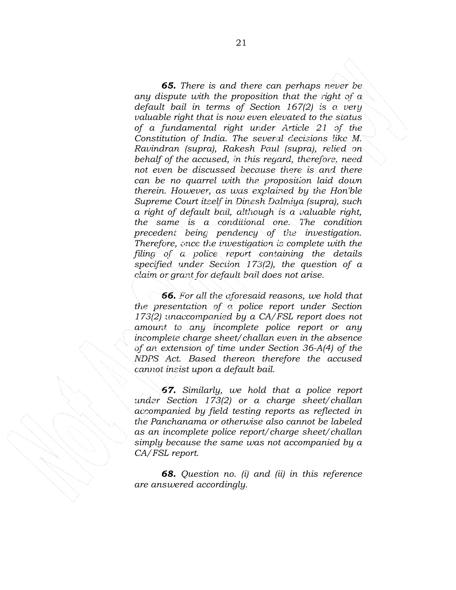*65. There is and there can perhaps never be any dispute with the proposition that the right of a default bail in terms of Section 167(2) is a very valuable right that is now even elevated to the status of a fundamental right under Article 21 of the Constitution of India. The several decisions like M. Ravindran (supra), Rakesh Paul (supra), relied on behalf of the accused, in this regard, therefore, need not even be discussed because there is and there can be no quarrel with the proposition laid down therein. However, as was explained by the Hon'ble Supreme Court itself in Dinesh Dalmiya (supra), such a right of default bail, although is a valuable right, the same is a conditional one. The condition precedent being pendency of the investigation. Therefore, once the investigation is complete with the filing of a police report containing the details specified under Section 173(2), the question of a claim or grant for default bail does not arise.* 

*66. For all the aforesaid reasons, we hold that the presentation of a police report under Section 173(2) unaccompanied by a CA/FSL report does not amount to any incomplete police report or any incomplete charge sheet/challan even in the absence of an extension of time under Section 36-A(4) of the NDPS Act. Based thereon therefore the accused cannot insist upon a default bail.* 

*67. Similarly, we hold that a police report under Section 173(2) or a charge sheet/challan accompanied by field testing reports as reflected in the Panchanama or otherwise also cannot be labeled as an incomplete police report/charge sheet/challan simply because the same was not accompanied by a CA/FSL report.* 

*68. Question no. (i) and (ii) in this reference are answered accordingly.*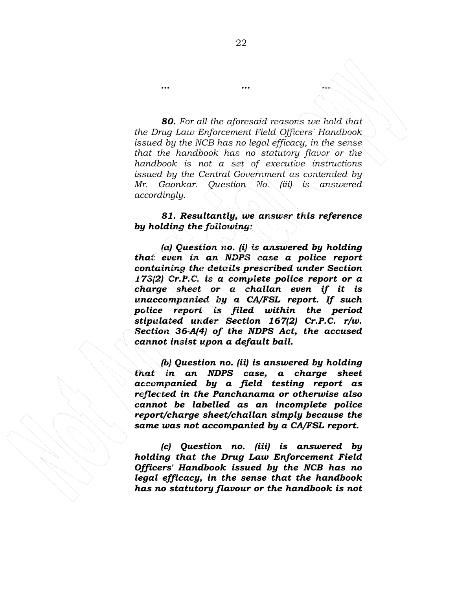*80. For all the aforesaid reasons we hold that the Drug Law Enforcement Field Officers' Handbook issued by the NCB has no legal efficacy, in the sense that the handbook has no statutory flavor or the handbook is not a set of executive instructions issued by the Central Government as contended by Mr. Gaonkar. Question No. (iii) is answered accordingly.* 

## *81. Resultantly, we answer this reference by holding the following:*

*(a) Question no. (i) is answered by holding that even in an NDPS case a police report containing the details prescribed under Section 173(2) Cr.P.C. is a complete police report or a charge sheet or a challan even if it is unaccompanied by a CA/FSL report. If such police report is filed within the period stipulated under Section 167(2) Cr.P.C. r/w. Section 36-A(4) of the NDPS Act, the accused cannot insist upon a default bail.* 

*(b) Question no. (ii) is answered by holding that in an NDPS case, a charge sheet accompanied by a field testing report as reflected in the Panchanama or otherwise also cannot be labelled as an incomplete police report/charge sheet/challan simply because the same was not accompanied by a CA/FSL report.* 

*(c) Question no. (iii) is answered by holding that the Drug Law Enforcement Field Officers' Handbook issued by the NCB has no legal efficacy, in the sense that the handbook has no statutory flavour or the handbook is not* 

*… … …*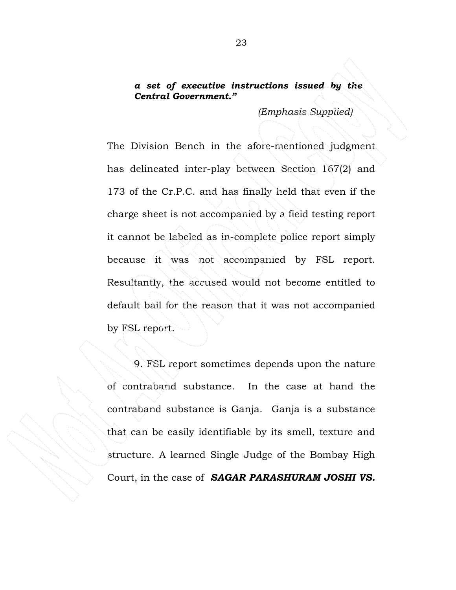# *a set of executive instructions issued by the Central Government."*

 *(Emphasis Supplied)* 

The Division Bench in the afore-mentioned judgment has delineated inter-play between Section 167(2) and 173 of the Cr.P.C. and has finally held that even if the charge sheet is not accompanied by a field testing report it cannot be labeled as in-complete police report simply because it was not accompanied by FSL report. Resultantly, the accused would not become entitled to default bail for the reason that it was not accompanied by FSL report.

9. FSL report sometimes depends upon the nature of contraband substance. In the case at hand the contraband substance is Ganja. Ganja is a substance that can be easily identifiable by its smell, texture and structure. A learned Single Judge of the Bombay High Court, in the case of *SAGAR PARASHURAM JOSHI VS.*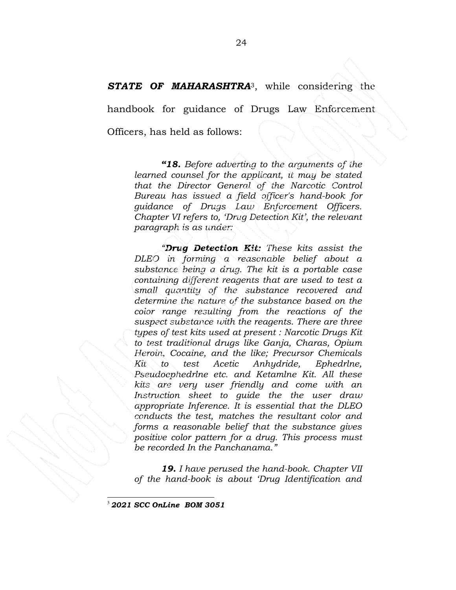## *STATE OF MAHARASHTRA*3, while considering the

handbook for guidance of Drugs Law Enforcement

Officers, has held as follows:

*"18. Before adverting to the arguments of the learned counsel for the applicant, it may be stated that the Director General of the Narcotic Control Bureau has issued a field officer's hand-book for guidance of Drugs Law Enforcement Officers. Chapter VI refers to, 'Drug Detection Kit', the relevant paragraph is as under:* 

*"Drug Detection Kit: These kits assist the DLEO in forming a reasonable belief about a substance being a drug. The kit is a portable case containing different reagents that are used to test a small quantity of the substance recovered and determine the nature of the substance based on the color range resulting from the reactions of the suspect substance with the reagents. There are three types of test kits used at present : Narcotic Drugs Kit to test traditional drugs like Ganja, Charas, Opium Heroin, Cocaine, and the like; Precursor Chemicals Kit to test Acetic Anhydride, Ephedrlne, Pseudoephedrlne etc. and Ketamlne Kit. All these kits are very user friendly and come with an Instruction sheet to guide the the user draw appropriate Inference. It is essential that the DLEO conducts the test, matches the resultant color and forms a reasonable belief that the substance gives positive color pattern for a drug. This process must be recorded In the Panchanama."* 

*19. I have perused the hand-book. Chapter VII of the hand-book is about 'Drug Identification and* 

<sup>3</sup> *2021 SCC OnLine BOM 3051*

 $\overline{a}$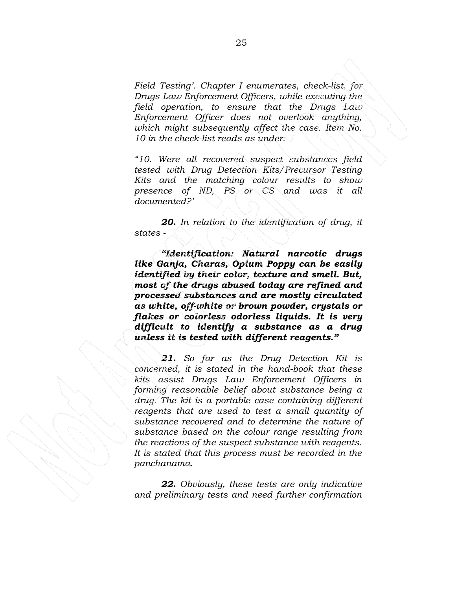*Field Testing'. Chapter I enumerates, check-list, for Drugs Law Enforcement Officers, while executing the field operation, to ensure that the Drugs Law Enforcement Officer does not overlook anything, which might subsequently affect the case. Item No. 10 in the check-list reads as under:* 

*"10. Were all recovered suspect substances field tested with Drug Detection Kits/Precursor Testing Kits and the matching colour results to show presence of ND, PS or CS and was it all documented?'* 

*20. In relation to the identification of drug, it states -* 

*"Identification: Natural narcotic drugs like Ganja, Charas, Opium Poppy can be easily identified by their color, texture and smell. But, most of the drugs abused today are refined and processed substances and are mostly circulated as white, off-white or brown powder, crystals or flakes or colorless odorless liquids. It is very difficult to identify a substance as a drug unless it is tested with different reagents."* 

*21. So far as the Drug Detection Kit is concerned, it is stated in the hand-book that these kits assist Drugs Law Enforcement Officers in forming reasonable belief about substance being a drug. The kit is a portable case containing different reagents that are used to test a small quantity of substance recovered and to determine the nature of substance based on the colour range resulting from the reactions of the suspect substance with reagents. It is stated that this process must be recorded in the panchanama.* 

*22. Obviously, these tests are only indicative and preliminary tests and need further confirmation*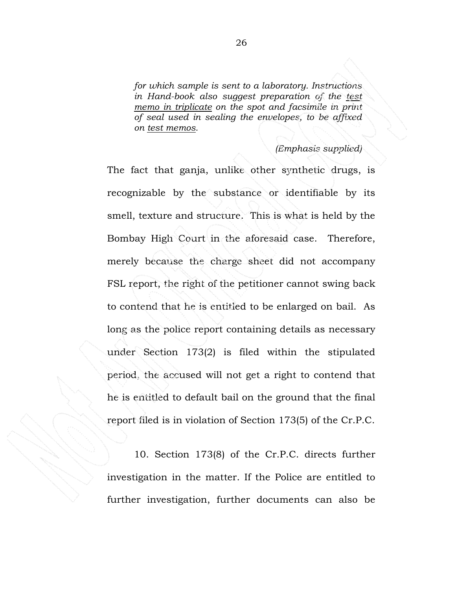*for which sample is sent to a laboratory. Instructions in Hand-book also suggest preparation of the test memo in triplicate on the spot and facsimile in print of seal used in sealing the envelopes, to be affixed on test memos.* 

## *(Emphasis supplied)*

The fact that ganja, unlike other synthetic drugs, is recognizable by the substance or identifiable by its smell, texture and structure. This is what is held by the Bombay High Court in the aforesaid case. Therefore, merely because the charge sheet did not accompany FSL report, the right of the petitioner cannot swing back to contend that he is entitled to be enlarged on bail. As long as the police report containing details as necessary under Section 173(2) is filed within the stipulated period, the accused will not get a right to contend that he is entitled to default bail on the ground that the final report filed is in violation of Section 173(5) of the Cr.P.C.

10. Section 173(8) of the Cr.P.C. directs further investigation in the matter. If the Police are entitled to further investigation, further documents can also be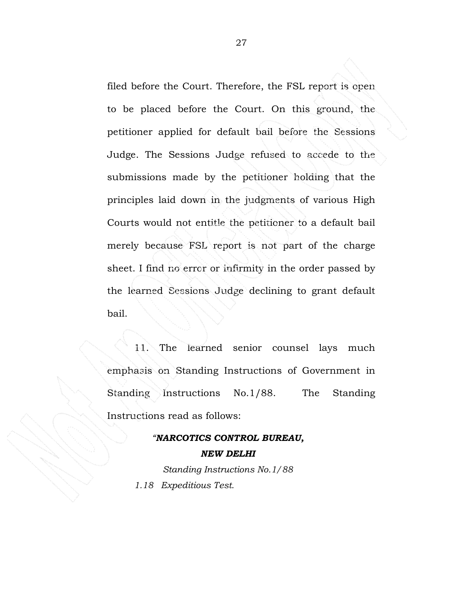filed before the Court. Therefore, the FSL report is open to be placed before the Court. On this ground, the petitioner applied for default bail before the Sessions Judge. The Sessions Judge refused to accede to the submissions made by the petitioner holding that the principles laid down in the judgments of various High Courts would not entitle the petitioner to a default bail merely because FSL report is not part of the charge sheet. I find no error or infirmity in the order passed by the learned Sessions Judge declining to grant default bail.

 11. The learned senior counsel lays much emphasis on Standing Instructions of Government in Standing Instructions No.1/88. The Standing Instructions read as follows:

# *"NARCOTICS CONTROL BUREAU, NEW DELHI Standing Instructions No.1/88 1.18 Expeditious Test.*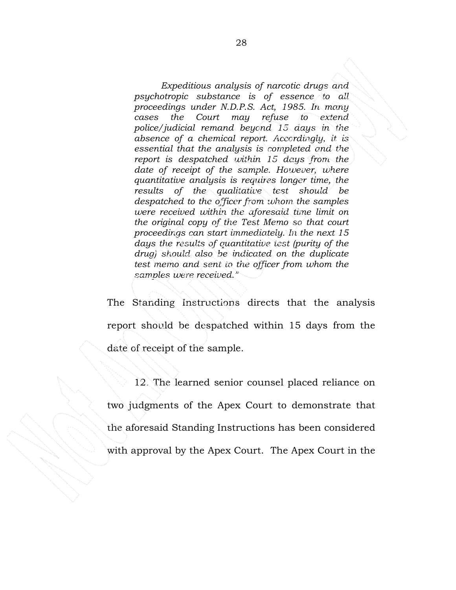*Expeditious analysis of narcotic drugs and psychotropic substance is of essence to all proceedings under N.D.P.S. Act, 1985. In many cases the Court may refuse to extend police/judicial remand beyond 15 days in the absence of a chemical report. Accordingly, it is essential that the analysis is completed and the report is despatched within 15 days from the date of receipt of the sample. However, where quantitative analysis is requires longer time, the results of the qualitative test should be despatched to the officer from whom the samples were received within the aforesaid time limit on the original copy of the Test Memo so that court proceedings can start immediately. In the next 15 days the results of quantitative test (purity of the drug) should also be indicated on the duplicate test memo and sent to the officer from whom the samples were received."* 

The Standing Instructions directs that the analysis report should be despatched within 15 days from the date of receipt of the sample.

12. The learned senior counsel placed reliance on two judgments of the Apex Court to demonstrate that the aforesaid Standing Instructions has been considered with approval by the Apex Court. The Apex Court in the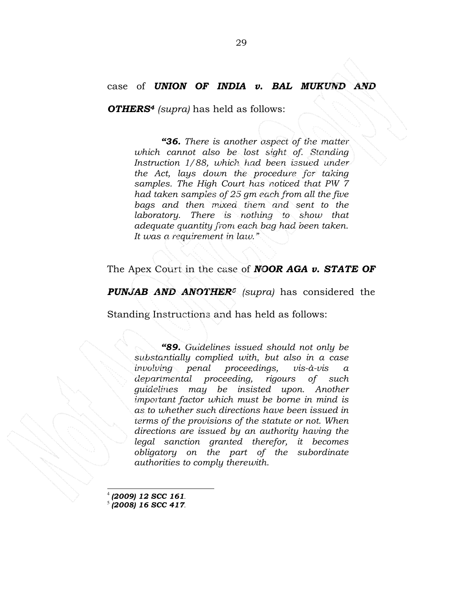# case of *UNION OF INDIA v. BAL MUKUND AND*

*OTHERS<sup>4</sup> (supra)* has held as follows:

*"36. There is another aspect of the matter which cannot also be lost sight of. Standing Instruction 1/88, which had been issued under the Act, lays down the procedure for taking samples. The High Court has noticed that PW 7 had taken samples of 25 gm each from all the five bags and then mixed them and sent to the laboratory. There is nothing to show that adequate quantity from each bag had been taken. It was a requirement in law."* 

The Apex Court in the case of *NOOR AGA v. STATE OF* 

*PUNJAB AND ANOTHER<sup>5</sup> (supra)* has considered the

Standing Instructions and has held as follows:

*"89. Guidelines issued should not only be substantially complied with, but also in a case involving penal proceedings, vis-à-vis a departmental proceeding, rigours of such guidelines may be insisted upon. Another important factor which must be borne in mind is as to whether such directions have been issued in terms of the provisions of the statute or not. When directions are issued by an authority having the legal sanction granted therefor, it becomes obligatory on the part of the subordinate authorities to comply therewith.* 

4 *(2009) 12 SCC 161*. 5 *(2008) 16 SCC 417*.

 $\overline{a}$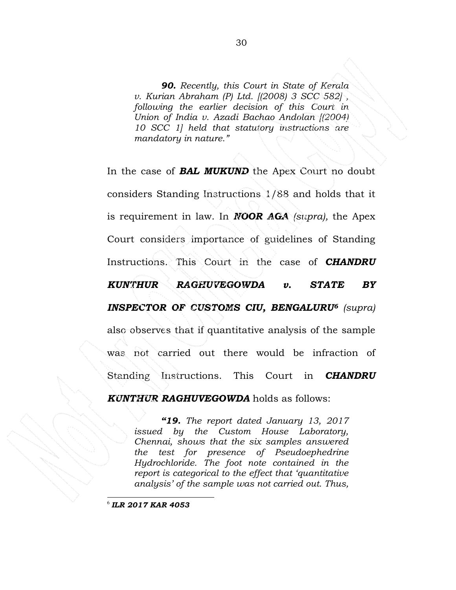*90. Recently, this Court in State of Kerala v. Kurian Abraham (P) Ltd. [(2008) 3 SCC 582] , following the earlier decision of this Court in Union of India v. Azadi Bachao Andolan [(2004) 10 SCC 1] held that statutory instructions are mandatory in nature."* 

In the case of *BAL MUKUND* the Apex Court no doubt considers Standing Instructions 1/88 and holds that it is requirement in law. In *NOOR AGA (supra),* the Apex Court considers importance of guidelines of Standing Instructions. This Court in the case of *CHANDRU KUNTHUR RAGHUVEGOWDA v. STATE BY INSPECTOR OF CUSTOMS CIU, BENGALURU<sup>6</sup> (supra)*  also observes that if quantitative analysis of the sample was not carried out there would be infraction of Standing Instructions. This Court in *CHANDRU KUNTHUR RAGHUVEGOWDA* holds as follows:

*"19. The report dated January 13, 2017 issued by the Custom House Laboratory, Chennai, shows that the six samples answered the test for presence of Pseudoephedrine Hydrochloride. The foot note contained in the report is categorical to the effect that 'quantitative analysis' of the sample was not carried out. Thus,* 

6 *ILR 2017 KAR 4053*

 $\overline{a}$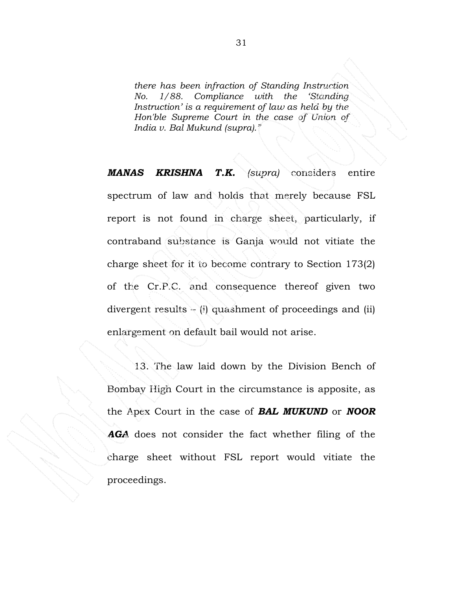*there has been infraction of Standing Instruction No. 1/88. Compliance with the 'Standing Instruction' is a requirement of law as held by the Hon'ble Supreme Court in the case of Union of India v. Bal Mukund (supra)."* 

*MANAS KRISHNA T.K. (supra)* considers entire spectrum of law and holds that merely because FSL report is not found in charge sheet, particularly, if contraband substance is Ganja would not vitiate the charge sheet for it to become contrary to Section 173(2) of the Cr.P.C. and consequence thereof given two divergent results – (i) quashment of proceedings and (ii) enlargement on default bail would not arise.

13. The law laid down by the Division Bench of Bombay High Court in the circumstance is apposite, as the Apex Court in the case of *BAL MUKUND* or *NOOR AGA* does not consider the fact whether filing of the charge sheet without FSL report would vitiate the proceedings.